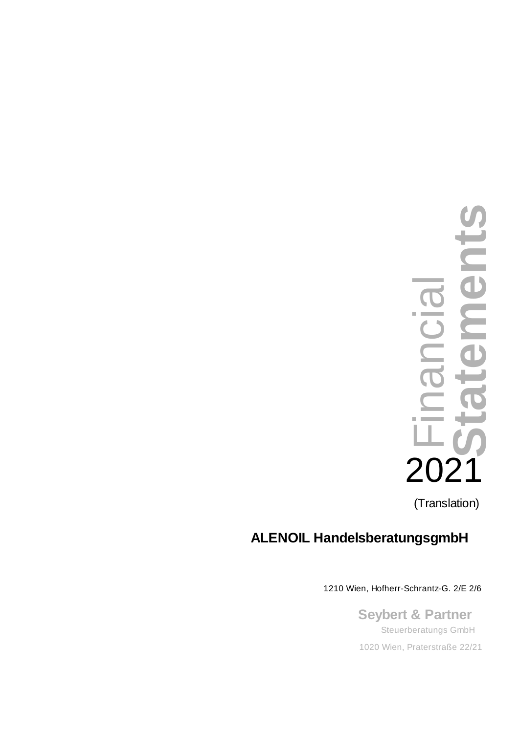

# **ALENOIL HandelsberatungsgmbH**

**Seybert & Partner** 1210 Wien, Hofherr-Schrantz-G. 2/E 2/6<br>Seybert & Partner<br>Steuerberatungs GmbH<br>1020 Wien, Praterstraße 22/21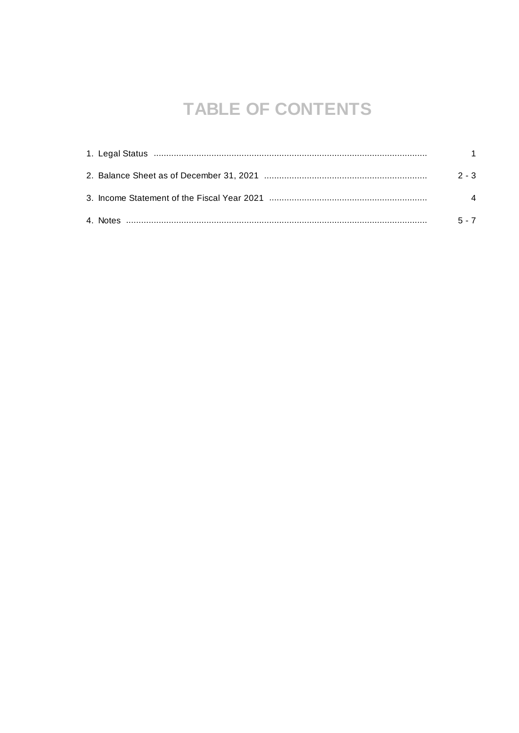# **TABLE OF CONTENTS**

|  | $2 - 3$               |  |
|--|-----------------------|--|
|  | $\boldsymbol{\Delta}$ |  |
|  | $5 - 7$               |  |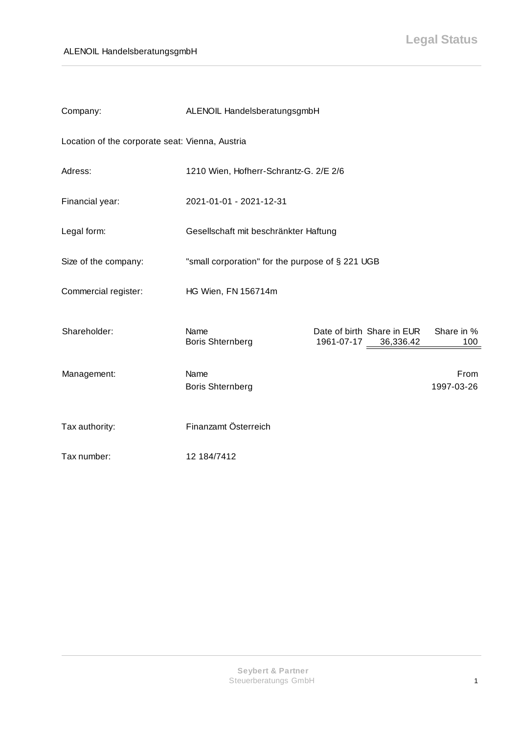| Company:                                        | ALENOIL HandelsberatungsgmbH                     |                                                    |                    |  |  |  |
|-------------------------------------------------|--------------------------------------------------|----------------------------------------------------|--------------------|--|--|--|
| Location of the corporate seat: Vienna, Austria |                                                  |                                                    |                    |  |  |  |
| Adress:                                         |                                                  | 1210 Wien, Hofherr-Schrantz-G. 2/E 2/6             |                    |  |  |  |
| Financial year:                                 | 2021-01-01 - 2021-12-31                          |                                                    |                    |  |  |  |
| Legal form:                                     | Gesellschaft mit beschränkter Haftung            |                                                    |                    |  |  |  |
| Size of the company:                            | "small corporation" for the purpose of § 221 UGB |                                                    |                    |  |  |  |
| Commercial register:                            | HG Wien, FN 156714m                              |                                                    |                    |  |  |  |
| Shareholder:                                    | Name<br><b>Boris Shternberg</b>                  | Date of birth Share in EUR<br>1961-07-17 36,336.42 | Share in %<br>100  |  |  |  |
| Management:                                     | Name<br><b>Boris Shternberg</b>                  |                                                    | From<br>1997-03-26 |  |  |  |
| Tax authority:                                  | Finanzamt Österreich                             |                                                    |                    |  |  |  |
| Tax number:                                     | 12 184/7412                                      |                                                    |                    |  |  |  |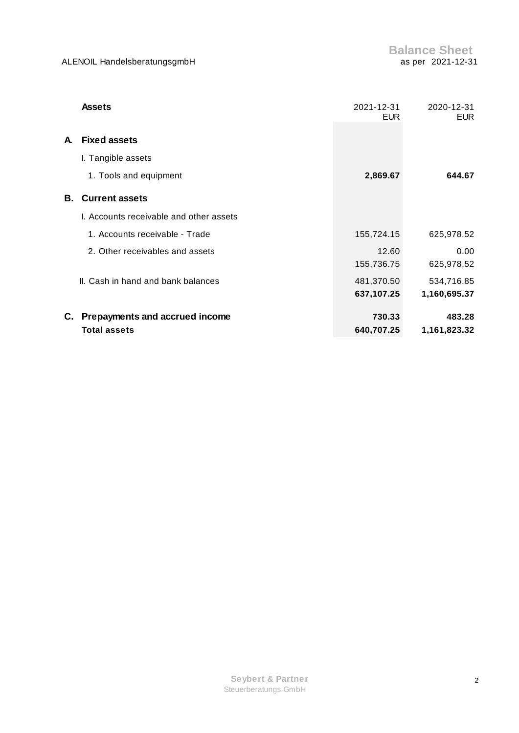|    | <b>Assets</b>                           | 2021-12-31<br><b>EUR</b> | 2020-12-31<br><b>EUR</b> |  |
|----|-----------------------------------------|--------------------------|--------------------------|--|
| A. | <b>Fixed assets</b>                     |                          |                          |  |
|    | I. Tangible assets                      |                          |                          |  |
|    | 1. Tools and equipment                  | 2,869.67                 | 644.67                   |  |
| В. | <b>Current assets</b>                   |                          |                          |  |
|    | I. Accounts receivable and other assets |                          |                          |  |
|    | 1. Accounts receivable - Trade          | 155,724.15               | 625,978.52               |  |
|    | 2. Other receivables and assets         | 12.60                    | 0.00                     |  |
|    |                                         | 155,736.75               | 625,978.52               |  |
|    | II. Cash in hand and bank balances      | 481,370.50               | 534,716.85               |  |
|    |                                         | 637,107.25               | 1,160,695.37             |  |
|    | C. Prepayments and accrued income       | 730.33                   | 483.28                   |  |
|    | <b>Total assets</b>                     | 640,707.25               | 1,161,823.32             |  |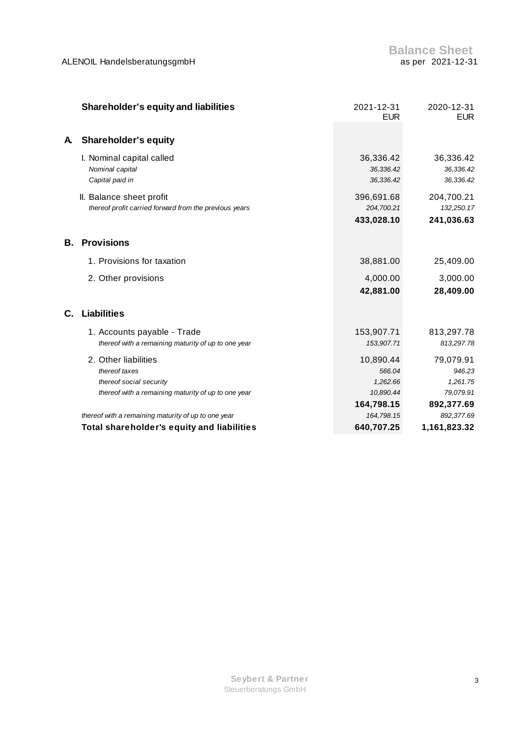|    | <b>Shareholder's equity and liabilities</b>                                                                             | 2021-12-31<br><b>EUR</b>                                   | 2020-12-31<br><b>EUR</b>                                   |  |
|----|-------------------------------------------------------------------------------------------------------------------------|------------------------------------------------------------|------------------------------------------------------------|--|
| A. | <b>Shareholder's equity</b>                                                                                             |                                                            |                                                            |  |
|    | I. Nominal capital called<br>Nominal capital<br>Capital paid in                                                         | 36,336.42<br>36,336.42<br>36,336.42                        | 36,336.42<br>36,336.42<br>36,336.42                        |  |
|    | II. Balance sheet profit<br>thereof profit carried forward from the previous years                                      | 396,691.68<br>204,700.21<br>433,028.10                     | 204,700.21<br>132,250.17<br>241,036.63                     |  |
| В. | <b>Provisions</b>                                                                                                       |                                                            |                                                            |  |
|    | 1. Provisions for taxation                                                                                              | 38,881.00                                                  | 25,409.00                                                  |  |
|    | 2. Other provisions                                                                                                     | 4,000.00<br>42,881.00                                      | 3,000.00<br>28,409.00                                      |  |
| C. | <b>Liabilities</b>                                                                                                      |                                                            |                                                            |  |
|    | 1. Accounts payable - Trade<br>thereof with a remaining maturity of up to one year                                      | 153,907.71<br>153,907.71                                   | 813,297.78<br>813,297.78                                   |  |
|    | 2. Other liabilities<br>thereof taxes<br>thereof social security<br>thereof with a remaining maturity of up to one year | 10,890.44<br>566.04<br>1,262.66<br>10,890.44<br>164,798.15 | 79,079.91<br>946.23<br>1,261.75<br>79,079.91<br>892,377.69 |  |
|    | thereof with a remaining maturity of up to one year                                                                     | 164,798.15                                                 | 892,377.69                                                 |  |
|    | <b>Total shareholder's equity and liabilities</b>                                                                       | 640,707.25                                                 | 1,161,823.32                                               |  |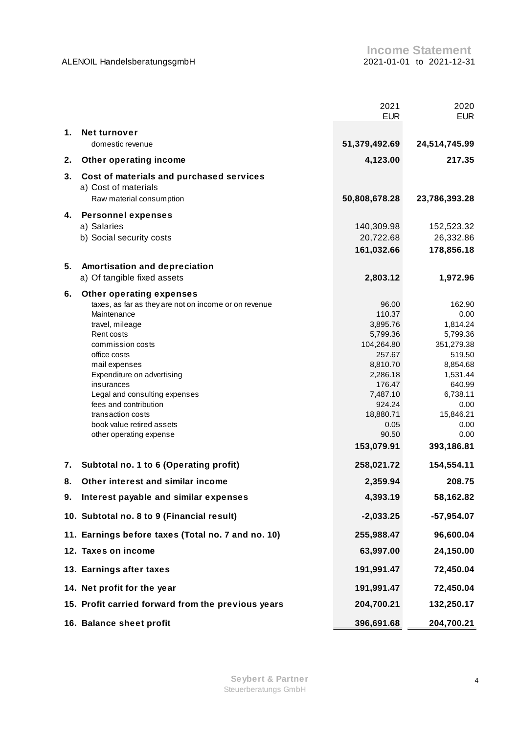|    |                                                                                              | 2021<br><b>EUR</b> | 2020<br><b>EUR</b> |  |
|----|----------------------------------------------------------------------------------------------|--------------------|--------------------|--|
| 1. | Net turnover                                                                                 |                    |                    |  |
|    | domestic revenue                                                                             | 51,379,492.69      | 24,514,745.99      |  |
| 2. | Other operating income                                                                       | 4,123.00           | 217.35             |  |
| 3. | Cost of materials and purchased services<br>a) Cost of materials<br>Raw material consumption | 50,808,678.28      | 23,786,393.28      |  |
|    |                                                                                              |                    |                    |  |
| 4. | <b>Personnel expenses</b>                                                                    |                    |                    |  |
|    | a) Salaries                                                                                  | 140,309.98         | 152,523.32         |  |
|    | b) Social security costs                                                                     | 20,722.68          | 26,332.86          |  |
|    |                                                                                              | 161,032.66         | 178,856.18         |  |
| 5. | Amortisation and depreciation                                                                |                    |                    |  |
|    | a) Of tangible fixed assets                                                                  | 2,803.12           | 1,972.96           |  |
| 6. | Other operating expenses                                                                     |                    |                    |  |
|    | taxes, as far as they are not on income or on revenue                                        | 96.00              | 162.90             |  |
|    | Maintenance                                                                                  | 110.37             | 0.00               |  |
|    | travel, mileage                                                                              | 3,895.76           | 1,814.24           |  |
|    | Rent costs                                                                                   | 5,799.36           | 5,799.36           |  |
|    | commission costs                                                                             | 104,264.80         | 351,279.38         |  |
|    | office costs                                                                                 | 257.67             | 519.50             |  |
|    | mail expenses                                                                                | 8,810.70           | 8,854.68           |  |
|    | Expenditure on advertising                                                                   | 2,286.18           | 1,531.44           |  |
|    | insurances                                                                                   | 176.47             | 640.99             |  |
|    | Legal and consulting expenses                                                                | 7,487.10           | 6,738.11           |  |
|    | fees and contribution                                                                        | 924.24             | 0.00               |  |
|    | transaction costs                                                                            | 18,880.71          | 15,846.21          |  |
|    | book value retired assets                                                                    | 0.05               | 0.00               |  |
|    | other operating expense                                                                      | 90.50              | 0.00               |  |
|    |                                                                                              | 153,079.91         | 393,186.81         |  |
| 7. | Subtotal no. 1 to 6 (Operating profit)                                                       | 258,021.72         | 154,554.11         |  |
| 8. | Other interest and similar income                                                            | 2,359.94           | 208.75             |  |
| 9. | Interest payable and similar expenses                                                        | 4,393.19           | 58,162.82          |  |
|    | 10. Subtotal no. 8 to 9 (Financial result)                                                   | $-2,033.25$        | $-57,954.07$       |  |
|    | 11. Earnings before taxes (Total no. 7 and no. 10)                                           | 255,988.47         | 96,600.04          |  |
|    | 12. Taxes on income                                                                          | 63,997.00          | 24,150.00          |  |
|    | 13. Earnings after taxes                                                                     | 191,991.47         | 72,450.04          |  |
|    | 14. Net profit for the year                                                                  | 191,991.47         | 72,450.04          |  |
|    | 15. Profit carried forward from the previous years                                           | 204,700.21         | 132,250.17         |  |
|    | 16. Balance sheet profit                                                                     | 396,691.68         | 204,700.21         |  |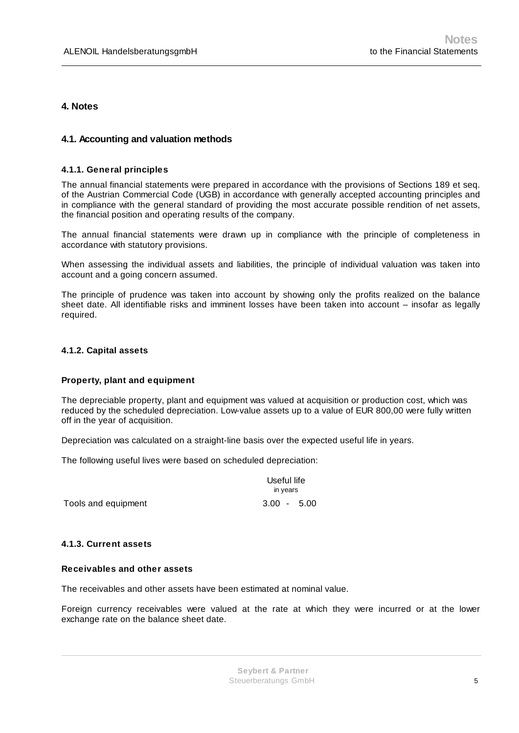## **4. Notes**

#### **4.1. Accounting and valuation methods**

#### **4.1.1. General principles**

The annual financial statements were prepared in accordance with the provisions of Sections 189 et seq. of the Austrian Commercial Code (UGB) in accordance with generally accepted accounting principles and in compliance with the general standard of providing the most accurate possible rendition of net assets, the financial position and operating results of the company.

The annual financial statements were drawn up in compliance with the principle of completeness in accordance with statutory provisions.

When assessing the individual assets and liabilities, the principle of individual valuation was taken into account and a going concern assumed.

The principle of prudence was taken into account by showing only the profits realized on the balance sheet date. All identifiable risks and imminent losses have been taken into account – insofar as legally required.

#### **4.1.2. Capital assets**

#### **Property, plant and equipment**

The depreciable property, plant and equipment was valued at acquisition or production cost, which was reduced by the scheduled depreciation. Low-value assets up to a value of EUR 800,00 were fully written off in the year of acquisition.

Depreciation was calculated on a straight-line basis over the expected useful life in years.

The following useful lives were based on scheduled depreciation:

| Useful life<br>in years |  |
|-------------------------|--|
| $3.00 - 5.00$           |  |

Tools and equipment

#### **4.1.3. Current assets**

#### **Receivables and other assets**

The receivables and other assets have been estimated at nominal value.

Foreign currency receivables were valued at the rate at which they were incurred or at the lower exchange rate on the balance sheet date.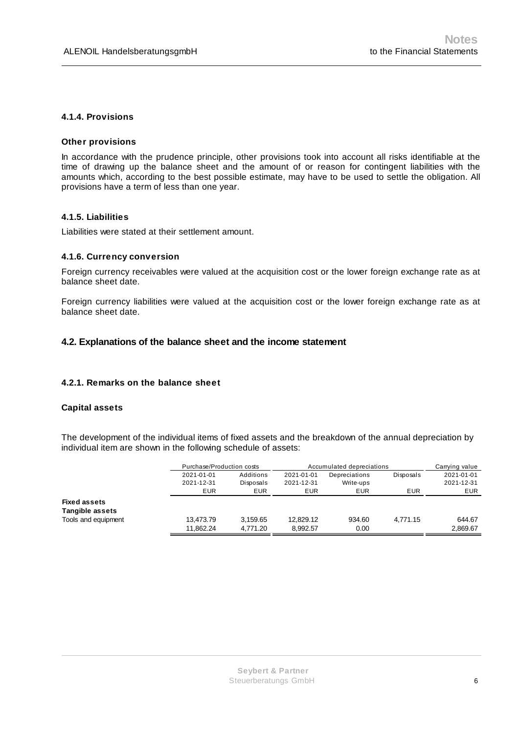#### **4.1.4. Provisions**

#### **Other provisions**

In accordance with the prudence principle, other provisions took into account all risks identifiable at the time of drawing up the balance sheet and the amount of or reason for contingent liabilities with the amounts which, according to the best possible estimate, may have to be used to settle the obligation. All provisions have a term of less than one year.

#### **4.1.5. Liabilities**

Liabilities were stated at their settlement amount.

#### **4.1.6. Currency conversion**

Foreign currency receivables were valued at the acquisition cost or the lower foreign exchange rate as at balance sheet date.

Foreign currency liabilities were valued at the acquisition cost or the lower foreign exchange rate as at balance sheet date.

#### **4.2. Explanations of the balance sheet and the income statement**

#### **4.2.1. Remarks on the balance sheet**

#### **Capital assets**

The development of the individual items of fixed assets and the breakdown of the annual depreciation by individual item are shown in the following schedule of assets:

|                        |            | Purchase/Production costs |            | Accumulated depreciations |           | Carrying value |
|------------------------|------------|---------------------------|------------|---------------------------|-----------|----------------|
|                        | 2021-01-01 | Additions                 | 2021-01-01 | Depreciations             | Disposals | 2021-01-01     |
|                        | 2021-12-31 | Disposals                 | 2021-12-31 | Write-ups                 |           | 2021-12-31     |
|                        | <b>EUR</b> | <b>EUR</b>                | <b>EUR</b> | <b>EUR</b>                | EUR       | <b>EUR</b>     |
| <b>Fixed assets</b>    |            |                           |            |                           |           |                |
| <b>Tangible assets</b> |            |                           |            |                           |           |                |
| Tools and equipment    | 13,473.79  | 3,159.65                  | 12,829.12  | 934.60                    | 4,771.15  | 644.67         |
|                        | 11.862.24  | 4.771.20                  | 8.992.57   | 0.00                      |           | 2,869.67       |